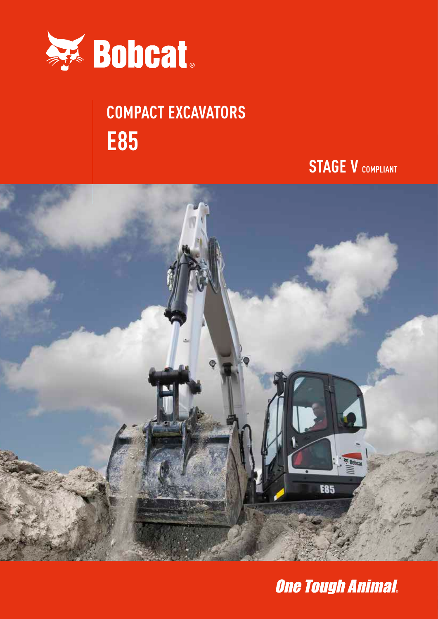

# **E85 COMPACT EXCAVATORS**

**STAGE V COMPLIANT** 



**One Tough Animal.**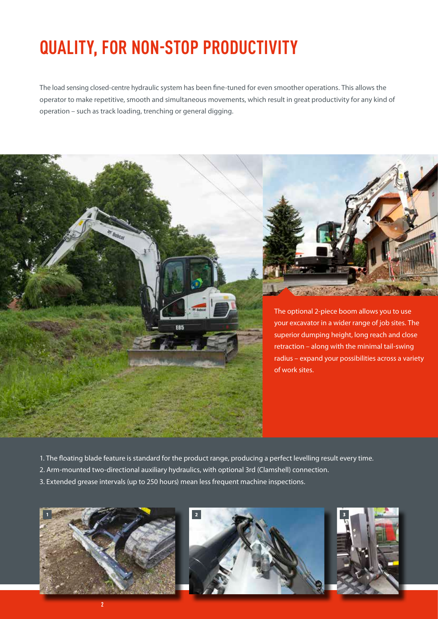# **QUALITY, FOR NON-STOP PRODUCTIVITY**

The load sensing closed-centre hydraulic system has been fine-tuned for even smoother operations. This allows the operator to make repetitive, smooth and simultaneous movements, which result in great productivity for any kind of operation – such as track loading, trenching or general digging.



The optional 2-piece boom allows you to use your excavator in a wider range of job sites. The superior dumping height, long reach and close retraction – along with the minimal tail-swing radius – expand your possibilities across a variety of work sites.

- 1. The floating blade feature is standard for the product range, producing a perfect levelling result every time.
- 2. Arm-mounted two-directional auxiliary hydraulics, with optional 3rd (Clamshell) connection.
- 3. Extended grease intervals (up to 250 hours) mean less frequent machine inspections.





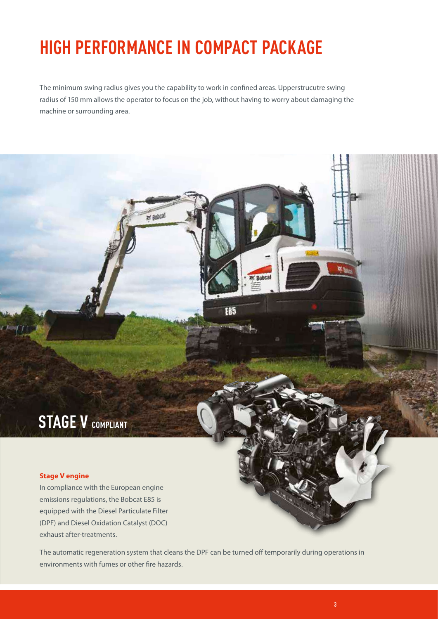### **HIGH PERFORMANCE IN COMPACT PACKAGE**

E Bobcal

The minimum swing radius gives you the capability to work in confined areas. Upperstrucutre swing radius of 150 mm allows the operator to focus on the job, without having to worry about damaging the machine or surrounding area.

**FR5** 

### **STAGE V COMPLIANT**

### **Stage V engine**

In compliance with the European engine emissions regulations, the Bobcat E85 is equipped with the Diesel Particulate Filter (DPF) and Diesel Oxidation Catalyst (DOC) exhaust after-treatments.

The automatic regeneration system that cleans the DPF can be turned off temporarily during operations in environments with fumes or other fire hazards.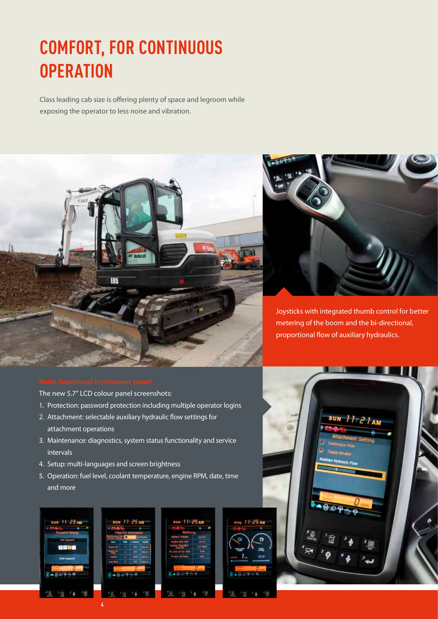# **COMFORT, FOR CONTINUOUS OPERATION**

Class leading cab size is offering plenty of space and legroom while exposing the operator to less noise and vibration.



The new 5.7" LCD colour panel screenshots:

- 1. Protection: password protection including multiple operator logins
- 2. Attachment: selectable auxiliary hydraulic flow settings for attachment operations
- 3. Maintenance: diagnostics, system status functionality and service intervals
- 4. Setup: multi-languages and screen brightness
- 5. Operation: fuel level, coolant temperature, engine RPM, date, time and more



**4**







Joysticks with integrated thumb control for better metering of the boom and the bi-directional, proportional flow of auxiliary hydraulics.

SIIN

п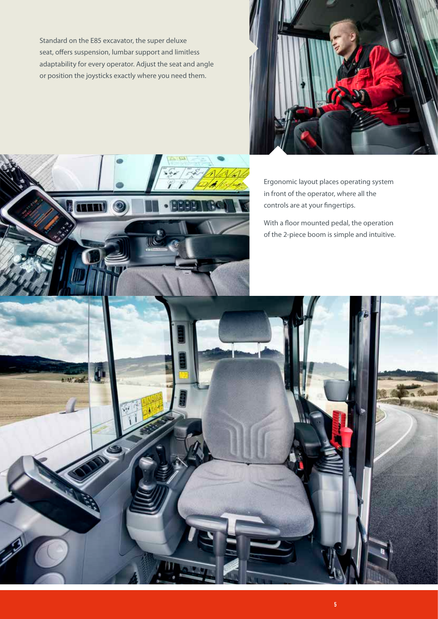Standard on the E85 excavator, the super deluxe seat, offers suspension, lumbar support and limitless adaptability for every operator. Adjust the seat and angle or position the joysticks exactly where you need them.

**ARK ED** 



Ergonomic layout places operating system in front of the operator, where all the controls are at your fingertips.

With a floor mounted pedal, the operation of the 2-piece boom is simple and intuitive.

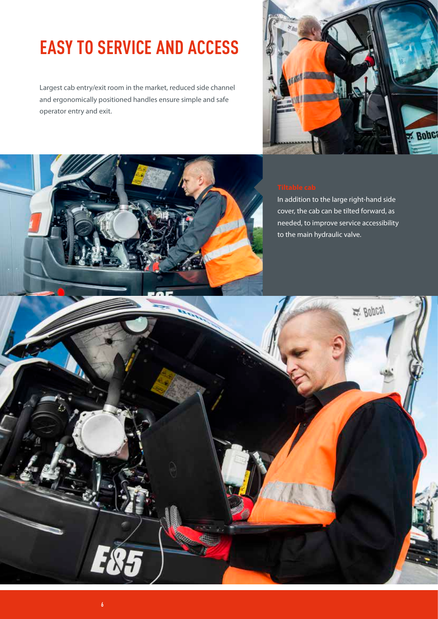# **EASY TO SERVICE AND ACCESS**

Largest cab entry/exit room in the market, reduced side channel and ergonomically positioned handles ensure simple and safe operator entry and exit.





In addition to the large right-hand side cover, the cab can be tilted forward, as needed, to improve service accessibility to the main hydraulic valve.

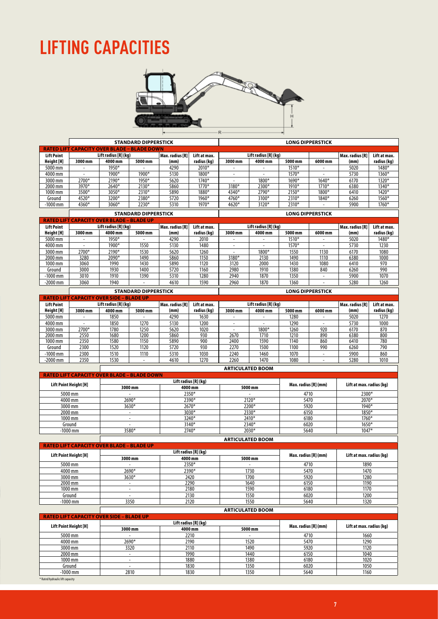## **LIFTING CAPACITIES**



|                   |                             | <b>STANDARD DIPPERSTICK</b>                        |         |                 |              | <b>LONG DIPPERSTICK</b>  |         |                         |                 |              |             |
|-------------------|-----------------------------|----------------------------------------------------|---------|-----------------|--------------|--------------------------|---------|-------------------------|-----------------|--------------|-------------|
|                   |                             | <b>RATED LIFT CAPACITY OVER BLADE – BLADE DOWN</b> |         |                 |              |                          |         |                         |                 |              |             |
| <b>Lift Point</b> |                             | Lift radius [R] (kg)                               |         | Max. radius [R] | Lift at max. | Lift radius [R] (kg)     |         |                         | Max. radius [R] | Lift at max. |             |
| Height [H]        | 3000 mm                     | 4000 mm                                            | 5000 mm | (mm)            | radius (kg)  | 3000 mm                  | 4000 mm | 5000 mm                 | 6000 mm         | (mm)         | radius (kg) |
| 5000 mm           | $\overline{\phantom{a}}$    | 1950*                                              |         | 4290            | 2010*        | $\overline{\phantom{a}}$ |         | 1510*                   | ۰               | 5020         | 1480*       |
| 4000 mm           | -                           | 1900*                                              | 1900*   | 5130            | 1800*        | $\overline{\phantom{a}}$ |         | 1570*                   | ۰               | 5730         | 1360*       |
| 3000 mm           | 2700*                       | 2190*                                              | 1950*   | 5620            | 1740*        |                          | 1800*   | 1690*                   | $1640*$         | 6170         | 1320*       |
| 2000 mm           | 3970*                       | $2640*$                                            | 2130*   | 5860            | 1770*        | 3180*                    | 2300*   | 1910*                   | 1710*           | 6380         | 1340*       |
| 1000 mm           | 3500*                       | $3050*$                                            | 2310*   | 5890            | 1880*        | 4340*                    | 2790*   | 2150*                   | 1800*           | 6410         | $1420*$     |
| Ground            | 4520*                       | 3200*                                              | 2380*   | 5720            | $1960*$      | 4760*                    | 3100*   | 2310*                   | 1840*           | 6260         | 1560*       |
| $-1000$ mm        | 4360*                       | 3060*                                              | 2230*   | 5310            | 1970*        | 4620*                    | 3120*   | 2310*                   |                 | 5900         | 1760*       |
|                   | <b>STANDARD DIPPERSTICK</b> |                                                    |         |                 |              |                          |         | <b>LONG DIPPERSTICK</b> |                 |              |             |

|                   |                          | <b>RATED LIFT CAPACITY OVER BLADE - BLADE UP</b> |         |                 |              |         |                      |         |         |                 |              |
|-------------------|--------------------------|--------------------------------------------------|---------|-----------------|--------------|---------|----------------------|---------|---------|-----------------|--------------|
| <b>Lift Point</b> |                          | Lift radius [R] (kg)                             |         | Max. radius [R] | Lift at max. |         | Lift radius [R] (kg) |         |         | Max. radius [R] | Lift at max. |
| Height [H]        | 3000 mm                  | 4000 mm                                          | 5000 mm | (mm)            | radius (kg)  | 3000 mm | 4000 mm              | 5000 mm | 6000 mm | (mm)            | radius (kg)  |
| 5000 mm           | $\overline{\phantom{0}}$ | 1950*                                            |         | 4290            | 2010         |         |                      | $1510*$ |         | 5020            | 1480*        |
| 4000 mm           | $\overline{\phantom{0}}$ | 1900*                                            | 1550    | 5130            | 1480         |         |                      | 1570*   |         | 5730            | 1230         |
| 3000 mm           | 2700*                    | 2190*                                            | 1530    | 5620            | 1260         |         | 1800*                | 1550    | 1130    | 6170            | 1080         |
| 2000 mm           | 3280                     | 2090*                                            | 1490    | 5860            | 1150         | 3180*   | 2130                 | 1490    | 1110    | 6380            | 1000         |
| 1000 mm           | 3060                     | 1990                                             | 1430    | 5890            | 1120         | 3120    | 2000                 | 1430    | 1080    | 6410            | 970          |
| Ground            | 3000                     | 1930                                             | 1400    | 5720            | 1160         | 2980    | 1910                 | 1380    | 840     | 6260            | 990          |
| $-1000$ mm        | 3010                     | 1910                                             | 1390    | 5310            | 1280         | 2940    | 1870                 | 1350    |         | 5900            | 1070         |
| $-2000$ mm        | 3060                     | 1940                                             |         | 4610            | 1590         | 2960    | 1870                 | 1360    |         | 5280            | 1260         |

|                   | <b>STANDARD DIPPERSTICK</b>                     |                      |         |                 | <b>LONG DIPPERSTICK</b> |         |                      |         |         |                 |              |
|-------------------|-------------------------------------------------|----------------------|---------|-----------------|-------------------------|---------|----------------------|---------|---------|-----------------|--------------|
|                   | <b>RATED LIFT CAPACITY OVER SIDE - BLADE UP</b> |                      |         |                 |                         |         |                      |         |         |                 |              |
| <b>Lift Point</b> |                                                 | Lift radius [R] (kg) |         | Max. radius [R] | Lift at max.            |         | Lift radius [R] (kg) |         |         | Max. radius [R] | Lift at max. |
| Height [H]        | 3000 mm                                         | 4000 mm              | 5000 mm | (mm)            | radius (kg)             | 3000 mm | 4000 mm              | 5000 mm | 6000 mm | (mm)            | radius (kg)  |
| 5000 mm           |                                                 | 1850                 |         | 4290            | 1630                    |         |                      | 1280    |         | 5020            | 1270         |
| 4000 mm           |                                                 | 1850                 | 1270    | 5130            | 1200                    |         |                      | 1290    |         | 5730            | 1000         |
| 3000 mm           | 2700*                                           | 1780                 | 1250    | 5620            | 1020                    |         | 1800*                | 1260    | 920     | 6170            | 870          |
| 2000 mm           | 2550                                            | 1680                 | 1200    | 5860            | 930                     | 2670    | 1710                 | 1210    | 890     | 6380            | 800          |
| 1000 mm           | 2350                                            | 1580                 | 1150    | 5890            | 900                     | 2400    | 1590                 | 1140    | 860     | 6410            | 780          |
| Ground            | 2300                                            | 1520                 | 1120    | 5720            | 930                     | 2270    | 1500                 | 1100    | 990     | 6260            | 790          |
| $-1000$ mm        | 2300                                            | 1510                 | 1110    | 5310            | 1030                    | 2240    | 1460                 | 1070    |         | 5900            | 860          |
| $-2000$ mm        | 2350                                            | 1530                 |         | 4610            | 1270                    | 2260    | 1470                 | 1080    |         | 5280            | 1010         |

|                       | <b>ARTICULATED BOOM</b>                            |                      |                          |                      |                          |  |  |
|-----------------------|----------------------------------------------------|----------------------|--------------------------|----------------------|--------------------------|--|--|
|                       | <b>RATED LIFT CAPACITY OVER BLADE - BLADE DOWN</b> |                      |                          |                      |                          |  |  |
|                       |                                                    | Lift radius [R] (kg) |                          |                      |                          |  |  |
| Lift Point Height [H] | 3000 mm                                            | 4000 mm              | 5000 mm                  | Max. radius [R] (mm) | Lift at max. radius (kg) |  |  |
| 5000 mm               | $\overline{\phantom{0}}$                           | 2350*                | $\overline{\phantom{0}}$ | 4710                 | 2300*                    |  |  |
| 4000 mm               | 2690*                                              | 2390*                | $2120*$                  | 5470                 | 2070*                    |  |  |
| 3000 mm               | 3630*                                              | 2670*                | 2200*                    | 5920                 | 1940*                    |  |  |
| 2000 mm               |                                                    | 3030*                | 2330*                    | 6150                 | 1850*                    |  |  |
| 1000 mm               |                                                    | 3240*                | 2410*                    | 6180                 | 1760*                    |  |  |
| Ground                |                                                    | 3140*                | 2340*                    | 6020                 | 1650*                    |  |  |
| $-1000$ mm            | 3580*                                              | 2740*                | 2030*                    | 5640                 | $1047*$                  |  |  |
|                       | <b>ARTICULATED BOOM</b>                            |                      |                          |                      |                          |  |  |

|                       | ANTICULATED DUOIN                                |                      |      |                      |                          |  |  |  |
|-----------------------|--------------------------------------------------|----------------------|------|----------------------|--------------------------|--|--|--|
|                       | <b>RATED LIFT CAPACITY OVER BLADE - BLADE UP</b> |                      |      |                      |                          |  |  |  |
| Lift Point Height [H] |                                                  | Lift radius [R] (kg) |      | Max. radius [R] (mm) |                          |  |  |  |
|                       | 3000 mm                                          | 5000 mm<br>4000 mm   |      |                      | Lift at max. radius (kg) |  |  |  |
| 5000 mm               |                                                  | 2350*                |      | 4710                 | 1890                     |  |  |  |
| 4000 mm               | 2690*                                            | 2390*                | 1730 | 5470                 | 1470                     |  |  |  |
| 3000 mm               | 3630*                                            | 2420                 | 1700 | 5920                 | 1280                     |  |  |  |
| 2000 mm               |                                                  | 2290                 | 1640 | 6150                 | 1190                     |  |  |  |
| 1000 mm               |                                                  | 2180                 | 1590 | 6180                 | 1170                     |  |  |  |
| Ground                |                                                  | 2130                 | 1550 | 6020                 | 1200                     |  |  |  |
| $-1000$ mm            | 3350                                             | 2120                 | 1550 | 5640                 | 1320                     |  |  |  |

|                                                                                                                                                                                                                                                                                                                                                                                                                                                              | <b>ARTICULATED BOOM</b> |                      |         |                      |                          |  |  |
|--------------------------------------------------------------------------------------------------------------------------------------------------------------------------------------------------------------------------------------------------------------------------------------------------------------------------------------------------------------------------------------------------------------------------------------------------------------|-------------------------|----------------------|---------|----------------------|--------------------------|--|--|
| <b>RATED LIFT CAPACITY OVER SIDE - BLADE UP</b>                                                                                                                                                                                                                                                                                                                                                                                                              |                         |                      |         |                      |                          |  |  |
|                                                                                                                                                                                                                                                                                                                                                                                                                                                              |                         | Lift radius [R] (kg) |         |                      |                          |  |  |
| Lift Point Height [H]                                                                                                                                                                                                                                                                                                                                                                                                                                        | 3000 mm                 | 4000 mm              | 5000 mm | Max. radius [R] (mm) | Lift at max. radius (kg) |  |  |
| 5000 mm                                                                                                                                                                                                                                                                                                                                                                                                                                                      |                         | 2210                 |         | 4710                 | 1660                     |  |  |
| 4000 mm                                                                                                                                                                                                                                                                                                                                                                                                                                                      | 2690*                   | 2190                 | 1520    | 5470                 | 1290                     |  |  |
| 3000 mm                                                                                                                                                                                                                                                                                                                                                                                                                                                      | 3320                    | 2110                 | 1490    | 5920                 | 1120                     |  |  |
| 2000 mm                                                                                                                                                                                                                                                                                                                                                                                                                                                      |                         | 1990                 | 1440    | 6150                 | 1040                     |  |  |
| 1000 mm                                                                                                                                                                                                                                                                                                                                                                                                                                                      |                         | 1880                 | 1380    | 6180                 | 1020                     |  |  |
| Ground                                                                                                                                                                                                                                                                                                                                                                                                                                                       |                         | 1830                 | 1350    | 6020                 | 1050                     |  |  |
| $-1000$ mm                                                                                                                                                                                                                                                                                                                                                                                                                                                   | 2810                    | 1830                 | 1350    | 5640                 | 1160                     |  |  |
| $\mathbf{A} \cdot \mathbf{B} \cdot \mathbf{A} = \mathbf{A} \cdot \mathbf{A} + \mathbf{B} \cdot \mathbf{A} + \mathbf{B} \cdot \mathbf{A} + \mathbf{B} \cdot \mathbf{A} + \mathbf{B} \cdot \mathbf{A} + \mathbf{B} \cdot \mathbf{A} + \mathbf{B} \cdot \mathbf{A} + \mathbf{B} \cdot \mathbf{A} + \mathbf{B} \cdot \mathbf{A} + \mathbf{B} \cdot \mathbf{A} + \mathbf{B} \cdot \mathbf{A} + \mathbf{B} \cdot \mathbf{A} + \mathbf{B} \cdot \mathbf{A} + \math$ |                         |                      |         |                      |                          |  |  |

\* Rated hydraulic lift capacity